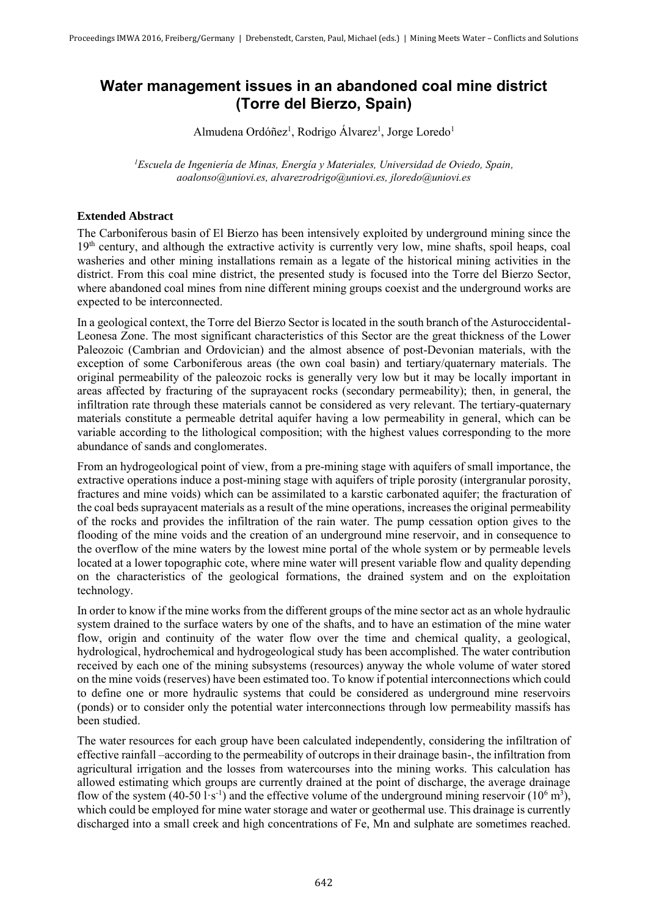## **Water management issues in an abandoned coal mine district (Torre del Bierzo, Spain)**

Almudena Ordóñez<sup>1</sup>, Rodrigo Álvarez<sup>1</sup>, Jorge Loredo<sup>1</sup>

*<sup>1</sup>Escuela de Ingeniería de Minas, Energía y Materiales, Universidad de Oviedo, Spain, aoalonso@uniovi.es, alvarezrodrigo@uniovi.es, jloredo@uniovi.es* 

## **Extended Abstract**

The Carboniferous basin of El Bierzo has been intensively exploited by underground mining since the 19<sup>th</sup> century, and although the extractive activity is currently very low, mine shafts, spoil heaps, coal washeries and other mining installations remain as a legate of the historical mining activities in the district. From this coal mine district, the presented study is focused into the Torre del Bierzo Sector, where abandoned coal mines from nine different mining groups coexist and the underground works are expected to be interconnected.

In a geological context, the Torre del Bierzo Sector is located in the south branch of the Asturoccidental-Leonesa Zone. The most significant characteristics of this Sector are the great thickness of the Lower Paleozoic (Cambrian and Ordovician) and the almost absence of post-Devonian materials, with the exception of some Carboniferous areas (the own coal basin) and tertiary/quaternary materials. The original permeability of the paleozoic rocks is generally very low but it may be locally important in areas affected by fracturing of the suprayacent rocks (secondary permeability); then, in general, the infiltration rate through these materials cannot be considered as very relevant. The tertiary-quaternary materials constitute a permeable detrital aquifer having a low permeability in general, which can be variable according to the lithological composition; with the highest values corresponding to the more abundance of sands and conglomerates.

From an hydrogeological point of view, from a pre-mining stage with aquifers of small importance, the extractive operations induce a post-mining stage with aquifers of triple porosity (intergranular porosity, fractures and mine voids) which can be assimilated to a karstic carbonated aquifer; the fracturation of the coal beds suprayacent materials as a result of the mine operations, increases the original permeability of the rocks and provides the infiltration of the rain water. The pump cessation option gives to the flooding of the mine voids and the creation of an underground mine reservoir, and in consequence to the overflow of the mine waters by the lowest mine portal of the whole system or by permeable levels located at a lower topographic cote, where mine water will present variable flow and quality depending on the characteristics of the geological formations, the drained system and on the exploitation technology.

In order to know if the mine works from the different groups of the mine sector act as an whole hydraulic system drained to the surface waters by one of the shafts, and to have an estimation of the mine water flow, origin and continuity of the water flow over the time and chemical quality, a geological, hydrological, hydrochemical and hydrogeological study has been accomplished. The water contribution received by each one of the mining subsystems (resources) anyway the whole volume of water stored on the mine voids (reserves) have been estimated too. To know if potential interconnections which could to define one or more hydraulic systems that could be considered as underground mine reservoirs (ponds) or to consider only the potential water interconnections through low permeability massifs has been studied.

The water resources for each group have been calculated independently, considering the infiltration of effective rainfall –according to the permeability of outcrops in their drainage basin-, the infiltration from agricultural irrigation and the losses from watercourses into the mining works. This calculation has allowed estimating which groups are currently drained at the point of discharge, the average drainage flow of the system (40-50 l·s<sup>-1</sup>) and the effective volume of the underground mining reservoir (10<sup>6</sup> m<sup>3</sup>), which could be employed for mine water storage and water or geothermal use. This drainage is currently discharged into a small creek and high concentrations of Fe, Mn and sulphate are sometimes reached.